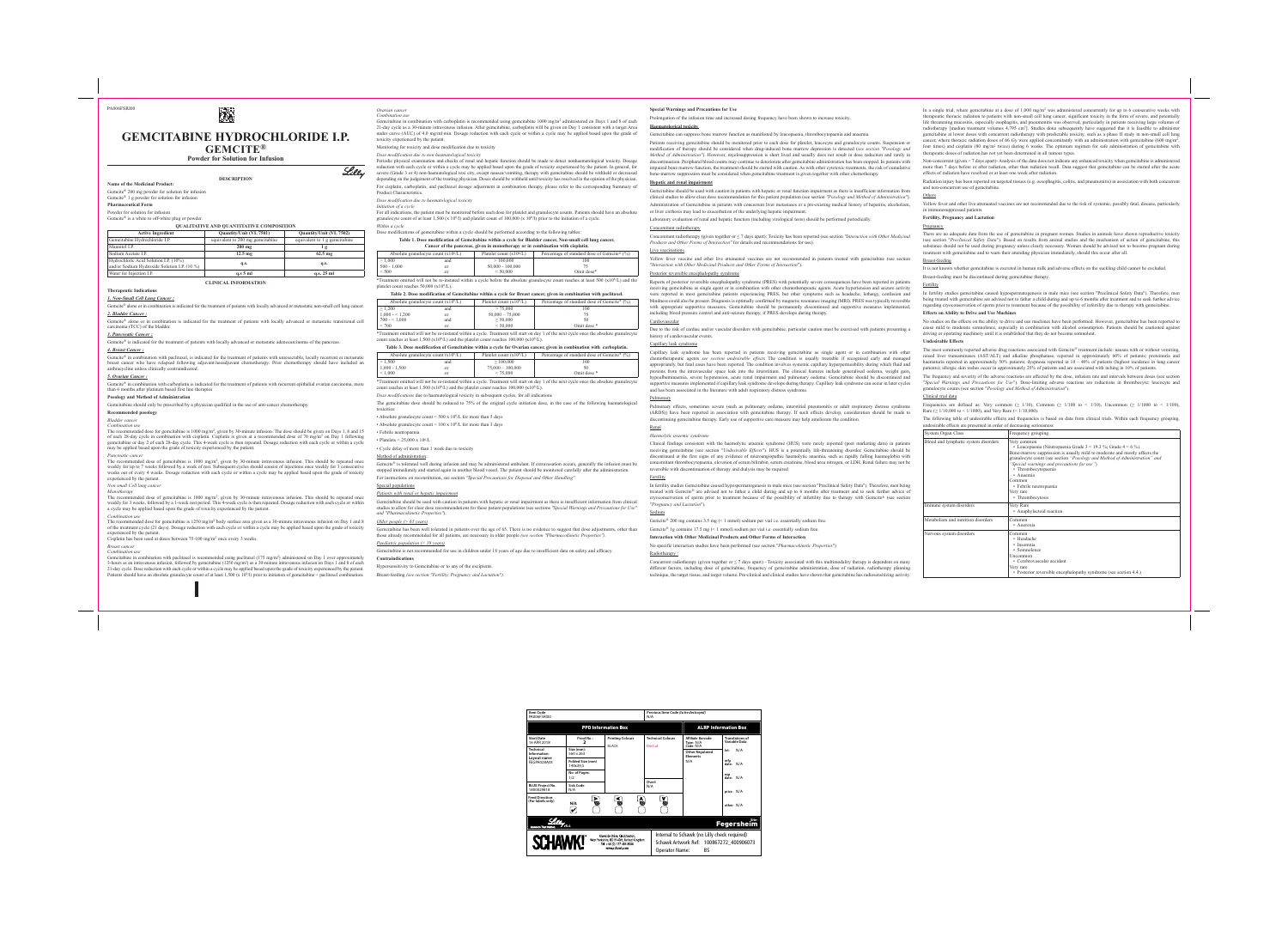# **GEMCITABINE HYDROCHLORIDE I.P. GEMCITE®**

蹨

**Powder for Solution for Infusion**

**DESCRIPTION**

**Name of the Medicinal Product:** 

# Gemcite® 200 mg powder for solution for infusion

# Gemcite® 1 g powder for solution for infusion

**Pharmaceutical Form**

Powder for solution for infusion Gemcite® is a white to off-white plug or powder.

## **QUALITATIVE AND QUANTITATIVE COMPOSITION**

| <b>Active Ingredient</b>                                                              | Quantity/Unit (VL 7501)          | Quantity/Unit (VL 7502)       |
|---------------------------------------------------------------------------------------|----------------------------------|-------------------------------|
| Gemcitabine Hydrochloride I.P.                                                        | equivalent to 200 mg gemcitabine | equivalent to 1 g gemcitabine |
| Mannitol I.P.                                                                         | $200$ mg                         | lg                            |
| Sodium Acetate I.P.                                                                   | $12.5 \text{ mg}$                | $62.5 \text{ mg}$             |
| Hydrochloric Acid Solution I.P. (10%)<br>and/or Sodium Hydroxide Solution I.P. (10 %) | q.s.                             | q.s.                          |
| Water for Injection I.P.                                                              | $q.s.5$ ml                       | q.s. 25 ml                    |

Gemcite® is indicated for the treatment of patients with locally advanced or metastatic adenocarcinoma of the pancreas. *4. Breast Cancer :*

**CLINICAL INFORMATION**

## **Therapeutic Indications**

*1. Non-Small Cell Lung Cancer :*

Gemcite® alone or in combination is indicated for the treatment of patients with locally advanced or metastatic non-small cell lung cancer. *2. Bladder Cancer :*

Gemcite® in combination with carboplatin is indicated for the treatment of patients with recurrent epithelial ovarian carcinoma, more than 6 months after platinum based first line therapies

Gemcite® alone or in combination is indicated for the treatment of patients with locally advanced or metastatic transitional cell carcinoma (TCC) of the bladder.

# *3. Pancreatic Cancer :*

Gemcite® in combination with paclitaxel, is indicated for the treatment of patients with unresectable, locally recurrent or metastatic breast cancer who have relapsed following adjuvant/neoadjuvant chemotherapy. Prior chemotherapy should have included an anthracycline unless clinically contraindicated.

### *5. Ovarian Cancer :*

The recommended dose of gemcitabine is 1000 mg/m<sup>2</sup>, given by 30-minute intravenous infusion. This should be repeated once weekly for 3 weeks, followed by a 1-week rest period. This 4-week cycle is then repeated. Dosage reduction with each cycle or within a cycle may be applied based upon the grade of toxicity experienced by the patient.

# **Posology and Method of Administration**

Gemcitabine should only be prescribed by a physician qualified in the use of anti-cancer chemotherapy.

### **Recommended posology** *Bladder cancer*

*Combination use*

Gemcitabine in combination with paclitaxel is recommended using paclitaxel (175 mg/m<sup>2</sup>) administered on Day 1 over approximately 3-hours as an intravenous infusion, followed by gemcitabine (1250 mg/m2) as a 30-minute intravenous infusion on Days 1 and 8 of each 21-day cycle. Dose reduction with each cycle or within a cycle may be applied based upon the grade of toxicity experienced by the patient.

The recommended dose for gemcitabine is 1000 mg/m2, given by 30-minute infusion. The dose should be given on Days 1, 8 and 15 of each 28-day cycle in combination with cisplatin. Cisplatin is given at a recommended dose of 70 mg/m2 on Day 1 following gemcitabine or day 2 of each 28-day cycle. This 4-week cycle is then repeated. Dosage reduction with each cycle or within a cycle may be applied based upon the grade of toxicity experienced by the patient.

Gemcitabine in combination with carboplatin is recommended using gemcitabine 1000 mg/m<sup>2</sup> administered on Days 1 and 8 of each 21-day cycle as a 30-minute intravenous infusion. After gemcitabine, carboplatin will be given on Day 1 consistent with a target Area under curve (AUC) of 4.0 mg/ml·min. Dosage reduction with each cycle or within a cycle may be applied based upon the grade of toxicity experienced by the patient.

*Pancreatic cancer* The recommended dose of gemcitabine is 1000 mg/m2, given by 30-minute intravenous infusion. This should be repeated once weekly for up to 7 weeks followed by a week of rest. Subsequent cycles should consist of injections once weekly for 3 consecutive weeks out of every 4 weeks. Dosage reduction with each cycle or within a cycle may be applied based upon the grade of toxicity experienced by the patient.

### *Non small Cell lung cancer Monotherapy*

*Combination use* The recommended dose for gemcitabine is 1250 mg/m2 body surface area given as a 30-minute intravenous infusion on Day 1 and 8 of the treatment cycle (21 days). Dosage reduction with each cycle or within a cycle may be applied based upon the grade of toxicity experienced by the patient.

Patients should have an absolute granulocyte count of at least 1,500 (x 10<sup>6</sup>/l) prior to initiation of gemcitabine + paclitaxel combination.

Cisplatin has been used at doses between 75-100 mg/m2 once every 3 weeks.

### *Breast cancer Combination use*

\*Treatment omitted will not be re-instated within a cycle. Treatment will start on day 1 of the next cycle once the absolute granulocyte count reaches at least 1,500 (x10<sup>6</sup>/L) and the platelet count reaches 100,000 (x10<sup>6</sup>/L). *Dose modifications* due to haematological toxicity in subsequent cycles, for all indications

### *Ovarian cancer Combination use*

Lilly

Gemcite® is tolerated well during infusion and may be administered ambulant. If extravasation occurs, generally the infusion must be stopped immediately and started again in another blood vessel. The patient should be monitored carefully after the administration. For instructions on reconstitution, see section *"Special Precautions for Disposal and Other Handling"*

Gemcitabine has been well tolerated in patients over the age of 65. There is no evidence to suggest that dose adjustments, other than those already recommended for all patients, are necessary in older people *(see section "Pharmacokinetic Properties")*. *Paediatric population (< 18 years)*

Monitoring for toxicity and dose modification due to toxicity

*Dose modification due to non haematological toxicity* Periodic physical examination and checks of renal and hepatic function should be made to detect nonhaematological toxicity. Dosage reduction with each cycle or within a cycle may be applied based upon the grade of toxicity experienced by the patient. In general, for severe (Grade 3 or 4) non-haematological toxi city, except nausea/vomiting, therapy with gemcitabine should be withheld or decreased depending on the judgement of the treating physician. Doses should be withheld until toxicity has resolved in the opinion of the physician.

For cisplatin, carboplatin, and paclitaxel dosage adjustment in combination therapy, please refer to the corresponding Summary of Product Characteristics.

*Dose modification due to haematological toxicity*

*Initiation of a cycle*

For all indications, the patient must be monitored before each dose for platelet and granulocyte counts. Patients should have an absolute granulocyte count of at least 1,500 (x 106/l) and platelet count of 100,000 (x 106/l) prior to the initiation of a cycle. *Within a cycle*

# Dose modifications of gemcitabine within a cycle should be performed according to the following tables

| Table 1. Dose modification of Gemcitabine within a cycle for Bladder cancer, Non-small cell lung cancer, |                           |                                                           |  |  |
|----------------------------------------------------------------------------------------------------------|---------------------------|-----------------------------------------------------------|--|--|
| Cancer of the pancreas, given in monotherapy or in combination with cisplatin.                           |                           |                                                           |  |  |
| Absolute granulocyte count $(x106/L)$                                                                    | Platelet count $(x106/L)$ | Percentage of standard dose of Gemcite <sup>®</sup> $(%)$ |  |  |

| 1.000                                                                                                                                     | and | >100,000           | 100        |  |  |
|-------------------------------------------------------------------------------------------------------------------------------------------|-----|--------------------|------------|--|--|
| $500 - 1.000$                                                                                                                             | or  | $50,000 - 100,000$ |            |  |  |
| ${}_{500}$                                                                                                                                | or  | < 50.000           | Omit dose* |  |  |
| *Treatment omitted will not be re-instated within a cycle before the absolute granulocyte count reaches at least 500 ( $x106/L$ ) and the |     |                    |            |  |  |
| platelet count reaches $50,000$ ( $x106/L$ ).                                                                                             |     |                    |            |  |  |

|                                       | Table 2. Dose modification of Gemcitabine within a cycle for Breast cancer, given in combination with paclitaxel. |                           |                                                           |     |  |
|---------------------------------------|-------------------------------------------------------------------------------------------------------------------|---------------------------|-----------------------------------------------------------|-----|--|
| Absolute granulocyte count $(x106/L)$ |                                                                                                                   | Platelet count $(x106/L)$ | Percentage of standard dose of Gemcite <sup>®</sup> $(%)$ |     |  |
|                                       | $\geq 1,200$                                                                                                      | and                       | > 75.000                                                  | 100 |  |

| $= 1,200$       | $\cdots$ | $\cdot$ $\cdot$ $\cdot$ $\cdot$ $\cdot$ $\cdot$ | $\sqrt{2}$                                                                                                                 |
|-----------------|----------|-------------------------------------------------|----------------------------------------------------------------------------------------------------------------------------|
| $1,000 - 5,200$ | or       | $50.000 - 75.000$                               |                                                                                                                            |
| $700 - 1,000$   | and      | $\geq 50,000$                                   | 50                                                                                                                         |
| 700             | Ωľ       | 50,000                                          | Omit dose *                                                                                                                |
|                 |          |                                                 | Treatment emitted will not be re-instated within a evale. Treatment will gter on day 1 of the next evale enga the absolute |

ated within a cycle. Treatment will start on day 1 of the next cycle once the absolute granulocyte count reaches at least 1,500 (x10<sup>6</sup>/L) and the platelet count reaches 100,000 (x10<sup>6</sup>/L).

| Table 3. Dose modification of Gemeitabine within a cycle for Ovarian cancer, given in combination with carboplatin.             |               |                    |             |  |  |
|---------------------------------------------------------------------------------------------------------------------------------|---------------|--------------------|-------------|--|--|
| Platelet count $(x106/L)$<br>Percentage of standard dose of Gemcite <sup>®</sup> $(%)$<br>Absolute granulocyte count $(x106/L)$ |               |                    |             |  |  |
| >1.500                                                                                                                          | and           | >100,000           | 100         |  |  |
| $1,000 - 1,500$                                                                                                                 | <sub>or</sub> | $75.000 - 100.000$ | 50          |  |  |
| ${}< 1.000$                                                                                                                     | 0ľ            | < 75.000           | Omit dose * |  |  |
|                                                                                                                                 |               |                    |             |  |  |

The gemcitabine dose should be reduced to 75% of the original cycle initiation dose, in the case of the following haematological toxicities:

• Absolute granulocyte count  $\leq 500 \times 10^6$ /L for more than 5 days

• Absolute granulocyte count  $\leq 100 \times 10^{6}/L$  for more than 3 days

Concurrent radiotherapy (given together or  $\leq$  7 days apart) - Toxicity associated with this multimodality therapy is dependent on many different factors, including dose of gemcitabine, frequency of gemcitabine administration, dose of radiation, radiotherapy planning technique, the target tissue, and target volume. Pre-clinical and clinical studies have shown that gemcitabine has radiosensitizing activity.

• Febrile neutropaenia

• Platelets  $\leq$  25,000 x 10<sup>6</sup>/L

• Cycle delay of more than 1 week due to toxicity

Method of administration:

In a single trial, where gemcitabine at a dose of  $1,000 \text{ mg/m}^2$  was administered concurrently for up to 6 consecutive weeks with therapeutic thoracic radiation to patients with non-small cell lung cancer, significant toxicity in the form of severe, and potentially life threatening mucositis, especially esophagitis, and pneumonitis was observed, particularly in patients receiving large volumes of radiotherapy [median treatment volumes 4,795 cm<sup>3</sup>]. Studies done subsequently have suggested that it is feasible to administer gemcitabine at lower doses with concurrent radiotherapy with predictable toxicity, such as a phase II study in non-small cell lung cancer, where thoracic radiation doses of 66 Gy were applied concomitantly with an administration with gemcitabine (600 mg/m<sup>2</sup>, four times) and cisplatin (80 mg/m2 twice) during 6 weeks. The optimum regimen for safe administration of gemcitabine with therapeutic doses of radiation has not yet been determined in all tumour types.

Special populations

*Patients with renal or hepatic impairment*

Gemcitabine should be used with caution in patients with hepatic or renal impairment as there is insufficient information from clinical studies to allow for clear dose recommendations for these patient populations (see sections *"Special Warnings and Precautions for Use" and "Pharmacokinetic Properties"*). *Older people (> 65 years)*

Gemcitabine is not recommended for use in children under 18 years of age due to insufficient data on safety and efficacy. **Contraindications**

## Hypersensitivity to Gemcitabine or to any of the excipients.

Breast-feeding *(see section "Fertility, Pregnancy and Lactation")*.

# **Special Warnings and Precautions for Use**

Prolongation of the infusion time and increased dosing frequency have been shown to increase toxicity.

# **Haematological toxicity**

## Gemcitabine can suppress bone marrow function as manifested by leucopaenia, thrombocytopaenia and anaemia.

The most commonly reported adverse drug reactions associated with Gemcite® treatment include: nausea with or without vomiting. raised liver transaminases (AST/ALT) and alkaline phosphatase, reported in approximately 60% of patients; proteinuria and haematuria reported in approximately 50% patients; dyspnoea reported in 10 – 40% of patients (highest incidence in lung cancer patients); allergic skin rashes occur in approximately 25% of patients and are associated with itching in 10% of patients.

Patients receiving gemcitabine should be monitored prior to each dose for platelet, leucocyte and granulocyte counts. Suspension or modification of therapy should be considered when drug-induced bone marrow depression is detected (*see section "Posology and Method of Administration"*). However, myelosuppression is short lived and usually does not result in dose reduction and rarely in discontinuation. Peripheral blood counts may continue to deteriorate after gemcitabine administration has been stopped. In patients with impaired bone marrow function, the treatment should be started with caution. As with other cytotoxic treatments, the risk of cumulative bone-marrow suppression must be considered when gemcitabine treatment is given together with other chemotherapy.

## **Hepatic and renal impairment**

Gemcitabine should be used with caution in patients with hepatic or renal function impairment as there is insufficient information from clinical studies to allow clear dose recommendation for this patient population (see section *"Posology and Method of Administration"*). Administration of Gemcitabine in patients with concurrent liver metastases or a pre-existing medical history of hepatitis, alcoholism, or liver cirrhosis may lead to exacerbation of the underlying hepatic impairment.

Laboratory evaluation of renal and hepatic function (including virological tests) should be performed periodically.

### Concomitant radiotherapy

Concomitant radiotherapy (given together or ≤ 7 days apart): Toxicity has been reported (see section *"Interaction with Other Medicinal Products and Other Forms of Interaction"* for details and recommendations for use).

### Live vaccination

Yellow fever vaccine and other live attenuated vaccines are not recommended in patients treated with gemcitabine (see section "*Interaction with Other Medicinal Products and Other Forms of Interaction*").

Posterior reversible encephalopathy syndrome

Reports of posterior reversible encephalopathy syndrome (PRES) with potentially severe consequences have been reported in patients receiving gemcitabine as single agent or in combination with other chemotherapeutic agents. Acute hypertension and seizure activity were reported in most gemcitabine patients experiencing PRES, but other symptoms such as headache, lethargy, confusion and blindness could also be present. Diagnosis is optimally confirmed by magnetic resonance imaging (MRI). PRES was typically reversible with appropriate supportive measures. Gemcitabine should be permanently discontinued and supportive measures implemented, including blood pressure control and anti-seizure therapy, if PRES develops during therapy.

### **Cardiovascular**

Due to the risk of cardiac and/or vascular disorders with gemcitabine, particular caution must be exercised with patients presenting a history of cardiovascular events.

### Capillary leak syndrome

Capillary leak syndrome has been reported in patients receiving gemcitabine as single agent or in combination with other chemotherapeutic agents *see section undesirable effects* The condition is usually treatable if recognised early and managed appropriately, but fatal cases have been reported. The condition involves systemic capillary hyperpermeability during which fluid and proteins from the intravascular space leak into the interstitium. The clinical features include generalised oedema, weight gain, hypoalbuminaemia, severe hypotension, acute renal impairment and pulmonary oedema. Gemcitabine should be discontinued and supportive measures implemented if capillary leak syndrome develops during therapy. Capillary leak syndrome can occur in later cycles and has been associated in the literature with adult respiratory distress syndrome.

### **Pulmonary**

Pulmonary effects, sometimes severe (such as pulmonary oedema, interstitial pneumonitis or adult respiratory distress syndrome (ARDS)) have been reported in association with gemcitabine therapy. If such effects develop, consideration should be made to discontinuing gemcitabine therapy. Early use of supportive care measure may help ameliorate the condition.

Renal *Haemolytic uraemic syndrome*

Clinical findings consistent with the haemolytic uraemic syndrome (HUS) were rarely reported (post marketing data) in patients receiving gemcitabine (see section "*Undesirable Effects*"). HUS is a potentially life-threatening disorder. Gemcitabine should be discontinued at the first signs of any evidence of microangiopathic haemolytic anaemia, such as rapidly falling haemoglobin with concomitant thrombocytopaenia, elevation of serum bilirubin, serum creatinine, blood urea nitrogen, or LDH. Renal failure may not be reversible with discontinuation of therapy and dialysis may be required

Fertility

In fertility studies Gemcitabine caused hypospermatogenesis in male mice (see section "Preclinical Safety Data"). Therefore, men being treated with Gemcite® are advised not to father a child during and up to 6 months after treatment and to seek further advice of cryoconservation of sperm prior to treatment because of the possibility of infertility due to therapy with Gemcite® (see section "*Pregnancy and Lactation*").

Sodium

Gemcite® 200 mg contains 3.5 mg (< 1 mmol) sodium per vial i.e. essentially sodium free.

Gemcite® 1g contains 17.5 mg (< 1 mmol) sodium per vial i.e. essentially sodium free.

# **Interaction with Other Medicinal Products and Other Forms of Interaction**

No specific interaction studies have been performed (see section "*Pharmacokinetic Properties*")

# Radiotherapy :

Non-concurrent (given > 7 days apart)- Analysis of the data does not indicate any enhanced toxicity when gemcitabine is administered more than 7 days before or after radiation, other than radiation recall. Data suggest that gemcitabine can be started after the acute effects of radiation have resolved or at least one week after radiation.

Radiation injury has been reported on targeted tissues (e.g. oesophagitis, colitis, and pneumonitis) in association with both concurrent and non-concurrent use of gemcitabine.

Yellow fever and other live attenuated vaccines are not recommended due to the risk of systemic, possibly fatal, disease, particularly in immunosuppressed patients.

# **Fertility, Pregnancy and Lactation**

Pregnancy

There are no adequate data from the use of gemcitabine in pregnant women. Studies in animals have shown reproductive toxicity (see section "*Preclinical Safety Data*"). Based on results from animal studies and the mechanism of action of gemcitabine, this substance should not be used during pregnancy unless clearly necessary. Women should be advised not to become pregnant during treatment with gemcitabine and to warn their attending physician immediately, should this occur after all. Breast-feeding

**Others** 

It is not known whether gemcitabine is excreted in human milk and adverse effects on the suckling child cannot be excluded. Breast-feeding must be discontinued during gemcitabine therapy.

Fertility

In fertility studies gemcitabine caused hypospermatogenesis in male mice (see section "Preclinical Safety Data"). Therefore, men being treated with gemcitabine are advised not to father a child during and up to 6 months after treatment and to seek further advice regarding cryoconservation of sperm prior to treatment because of the possibility of infertility due to therapy with gemcitabine. **Effects on Ability to Drive and Use Machines**

No studies on the effects on the ability to drive and use machines have been performed. However, gemcitabine has been reported to cause mild to moderate somnolence, especially in combination with alcohol consumption. Patients should be cautioned against driving or operating machinery until it is established that they do not become somnolent.

**Undesirable Effects**

The frequency and severity of the adverse reactions are affected by the dose, infusion rate and intervals between doses (see section "*Special Warnings and Precautions for Use*"). Dose-limiting adverse reactions are reductions in thrombocyte; leucocyte and granulocyte counts (see section "*Posology and Method of Administration*").

## Clinical trial data

Frequencies are defined as: Very common ( $\geq$  1/10), Common ( $\geq$  1/100 to < 1/10), Uncommon ( $\geq$  1/1000 to < 1/100), Rare ( $\geq 1/10,000$  to  $\leq 1/1000$ ), and Very Rare ( $\leq 1/10,000$ ).

The following table of undesirable effects and frequencies is based on data from clinical trials. Within each frequency grouping, undesirable effects are presented in order of decreasing seriousness

| System Organ Class                   | Frequency grouping                                                                                                                                                                                                                                                                                                                                                                                   |  |  |
|--------------------------------------|------------------------------------------------------------------------------------------------------------------------------------------------------------------------------------------------------------------------------------------------------------------------------------------------------------------------------------------------------------------------------------------------------|--|--|
| Blood and lymphatic system disorders | Very common<br>• Leucopaenia (Neutropaenia Grade $3 = 19.3$ %; Grade $4 = 6$ %).<br>Bone-marrow suppression is usually mild to moderate and mostly affects the<br>granulocyte count (see section "Posology and Method of Administration" and<br>"Special warnings and precautions for use")<br>• Thrombocytopaenia<br>• Anaemia<br>Common<br>• Febrile neutropaenia<br>Very rare<br>• Thrombocytosis |  |  |
| Immune system disorders              | Very Rare<br>• Anaphylactoid reaction                                                                                                                                                                                                                                                                                                                                                                |  |  |
| Metabolism and nutrition disorders   | Common<br>• Anorexia                                                                                                                                                                                                                                                                                                                                                                                 |  |  |
| Nervous system disorders             | Common<br>• Headache<br>• Insomnia<br>• Somnolence<br>Uncommon<br>• Cerebrovascular accident<br>Very rare<br>• Posterior reversible encephalopathy syndrome (see section 4.4.)                                                                                                                                                                                                                       |  |  |